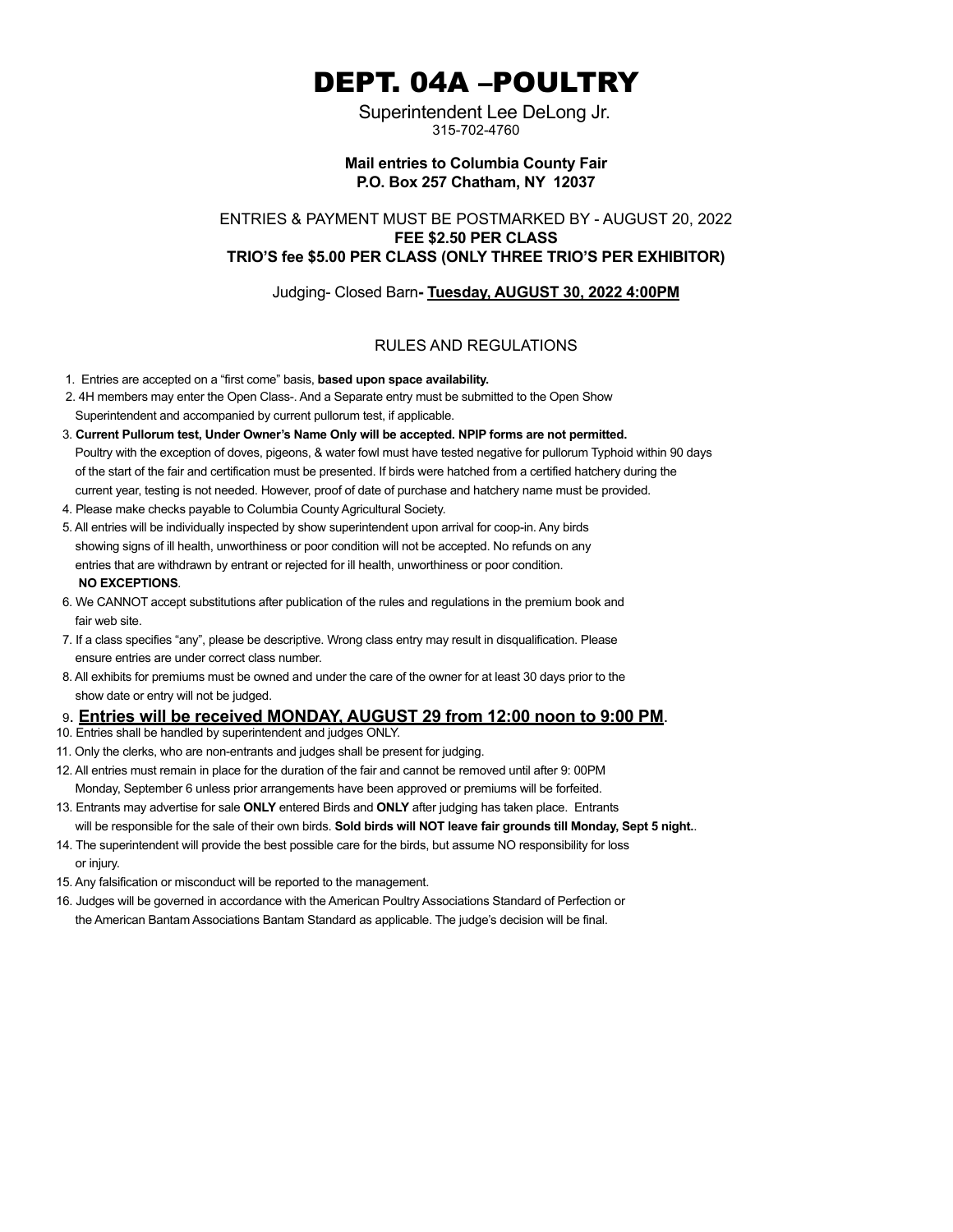# DEPT. 04A –POULTRY

 Superintendent Lee DeLong Jr. 315-702-4760

## **Mail entries to Columbia County Fair P.O. Box 257 Chatham, NY 12037**

ENTRIES & PAYMENT MUST BE POSTMARKED BY - AUGUST 20, 2022 **FEE \$2.50 PER CLASS TRIO'S fee \$5.00 PER CLASS (ONLY THREE TRIO'S PER EXHIBITOR)**

Judging- Closed Barn**- Tuesday, AUGUST 30, 2022 4:00PM**

## RULES AND REGULATIONS

- 1. Entries are accepted on a "first come" basis, **based upon space availability.**
- 2. 4H members may enter the Open Class-. And a Separate entry must be submitted to the Open Show Superintendent and accompanied by current pullorum test, if applicable.
- 3. **Current Pullorum test, Under Owner's Name Only will be accepted. NPIP forms are not permitted.** Poultry with the exception of doves, pigeons, & water fowl must have tested negative for pullorum Typhoid within 90 days of the start of the fair and certification must be presented. If birds were hatched from a certified hatchery during the current year, testing is not needed. However, proof of date of purchase and hatchery name must be provided.
- 4. Please make checks payable to Columbia County Agricultural Society.
- 5. All entries will be individually inspected by show superintendent upon arrival for coop-in. Any birds showing signs of ill health, unworthiness or poor condition will not be accepted. No refunds on any entries that are withdrawn by entrant or rejected for ill health, unworthiness or poor condition*.* **NO EXCEPTIONS***.*
- 6. We CANNOT accept substitutions after publication of the rules and regulations in the premium book and fair web site.
- 7. If a class specifies "any", please be descriptive. Wrong class entry may result in disqualification. Please ensure entries are under correct class number.
- 8. All exhibits for premiums must be owned and under the care of the owner for at least 30 days prior to the show date or entry will not be judged.

## 9. **Entries will be received MONDAY, AUGUST 29 from 12:00 noon to 9:00 PM**.

- 10. Entries shall be handled by superintendent and judges ONLY.
- 11. Only the clerks, who are non-entrants and judges shall be present for judging.
- 12. All entries must remain in place for the duration of the fair and cannot be removed until after 9: 00PM Monday, September 6 unless prior arrangements have been approved or premiums will be forfeited.
- 13. Entrants may advertise for sale **ONLY** entered Birds and **ONLY** after judging has taken place. Entrants will be responsible for the sale of their own birds. **Sold birds will NOT leave fair grounds till Monday, Sept 5 night.**.
- 14. The superintendent will provide the best possible care for the birds, but assume NO responsibility for loss or injury.
- 15. Any falsification or misconduct will be reported to the management.
- 16. Judges will be governed in accordance with the American Poultry Associations Standard of Perfection or the American Bantam Associations Bantam Standard as applicable. The judge's decision will be final.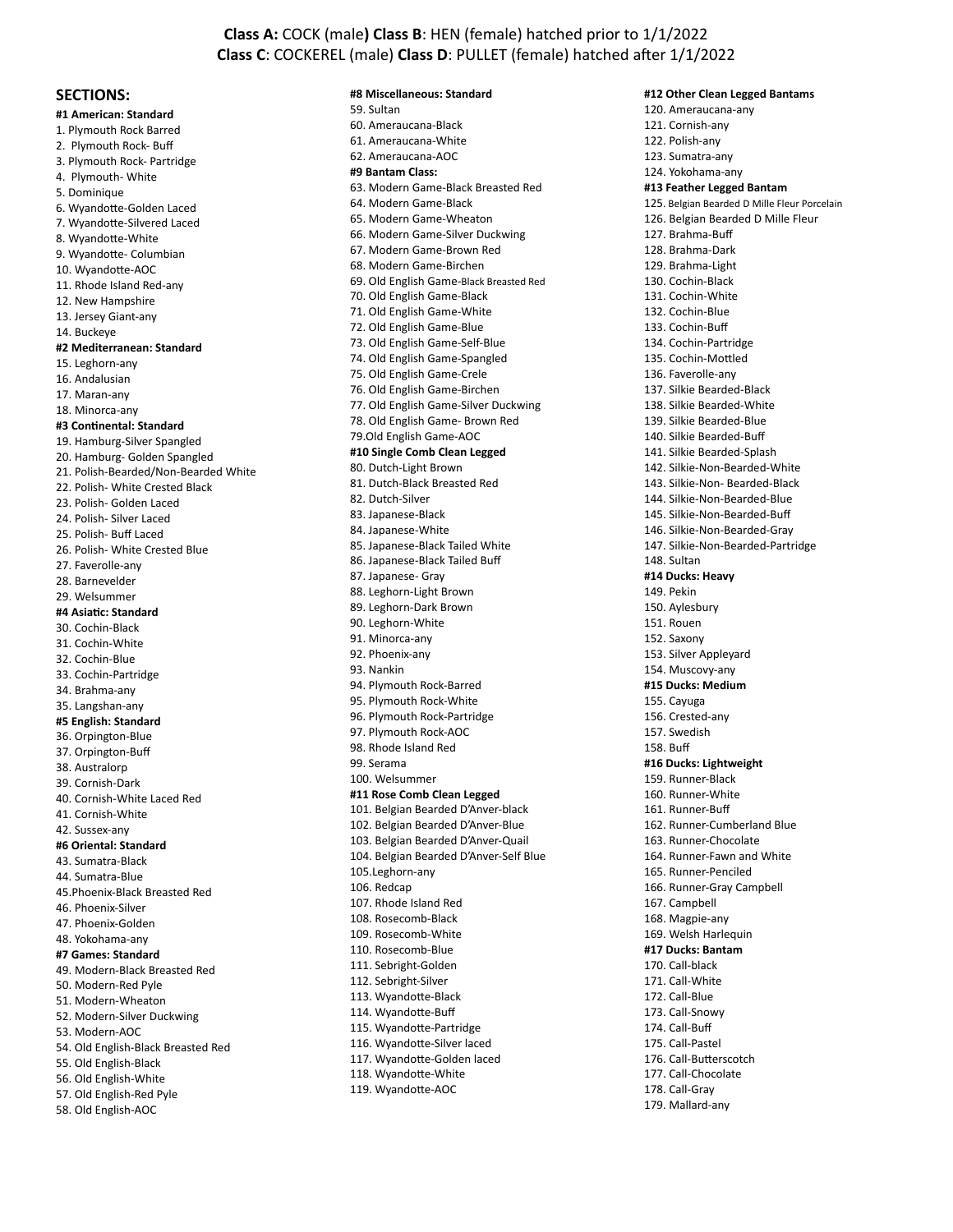## **Class A:** COCK (male**) Class B**: HEN (female) hatched prior to 1/1/2022 **Class C**: COCKEREL (male) **Class D**: PULLET (female) hatched after 1/1/2022

### **SECTIONS:**

**#1 American: Standard** 1. Plymouth Rock Barred 2. Plymouth Rock- Buff 3. Plymouth Rock- Partridge 4. Plymouth- White 5. Dominique 6. Wyandotte-Golden Laced 7. Wyandotte-Silvered Laced 8. Wyandotte-White 9. Wyandotte- Columbian 10. Wyandotte-AOC 11. Rhode Island Red-any 12. New Hampshire 13. Jersey Giant-any 14. Buckeye **#2 Mediterranean: Standard** 15. Leghorn-any 16. Andalusian 17. Maran-any 18. Minorca-any **#3 Continental: Standard** 19. Hamburg-Silver Spangled 20. Hamburg- Golden Spangled 21. Polish-Bearded/Non-Bearded White 22. Polish- White Crested Black 23. Polish- Golden Laced 24. Polish- Silver Laced 25. Polish- Buff Laced 26. Polish- White Crested Blue 27. Faverolle-any 28. Barnevelder 29. Welsummer **#4 Asiatic: Standard** 30. Cochin-Black 31. Cochin-White 32. Cochin-Blue 33. Cochin-Partridge 34. Brahma-any 35. Langshan-any **#5 English: Standard** 36. Orpington-Blue 37. Orpington-Buff 38. Australorp 39. Cornish-Dark 40. Cornish-White Laced Red 41. Cornish-White 42. Sussex-any **#6 Oriental: Standard** 43. Sumatra-Black 44. Sumatra-Blue 45.Phoenix-Black Breasted Red 46. Phoenix-Silver 47. Phoenix-Golden 48. Yokohama-any **#7 Games: Standard** 49. Modern-Black Breasted Red 50. Modern-Red Pyle 51. Modern-Wheaton 52. Modern-Silver Duckwing 53. Modern-AOC 54. Old English-Black Breasted Red 55. Old English-Black 56. Old English-White 57. Old English-Red Pyle 58. Old English-AOC

#### **#8 Miscellaneous: Standard**

59. Sultan 60. Ameraucana-Black 61. Ameraucana-White 62. Ameraucana-AOC **#9 Bantam Class:** 63. Modern Game-Black Breasted Red 64. Modern Game-Black 65. Modern Game-Wheaton 66. Modern Game-Silver Duckwing 67. Modern Game-Brown Red 68. Modern Game-Birchen 69. Old English Game-Black Breasted Red 70. Old English Game-Black 71. Old English Game-White 72. Old English Game-Blue 73. Old English Game-Self-Blue 74. Old English Game-Spangled 75. Old English Game-Crele 76. Old English Game-Birchen 77. Old English Game-Silver Duckwing 78. Old English Game- Brown Red 79.Old English Game-AOC **#10 Single Comb Clean Legged** 80. Dutch-Light Brown 81. Dutch-Black Breasted Red 82. Dutch-Silver 83. Japanese-Black 84. Japanese-White 85. Japanese-Black Tailed White 86. Japanese-Black Tailed Buff 87. Japanese- Gray 88. Leghorn-Light Brown 89. Leghorn-Dark Brown 90. Leghorn-White 91. Minorca-any 92. Phoenix-any 93. Nankin 94. Plymouth Rock-Barred 95. Plymouth Rock-White 96. Plymouth Rock-Partridge 97. Plymouth Rock-AOC 98. Rhode Island Red 99. Serama 100. Welsummer **#11 Rose Comb Clean Legged** 101. Belgian Bearded D'Anver-black 102. Belgian Bearded D'Anver-Blue 103. Belgian Bearded D'Anver-Quail 104. Belgian Bearded D'Anver-Self Blue 105.Leghorn-any 106. Redcap 107. Rhode Island Red 108. Rosecomb-Black 109. Rosecomb-White 110. Rosecomb-Blue 111. Sebright-Golden 112. Sebright-Silver 113. Wyandotte-Black 114. Wyandotte-Buff 115. Wyandotte-Partridge 116. Wyandotte-Silver laced 117. Wyandotte-Golden laced 118. Wyandotte-White 119. Wyandotte-AOC

**#12 Other Clean Legged Bantams** 120. Ameraucana-any 121. Cornish-any 122. Polish-any 123. Sumatra-any 124. Yokohama-any **#13 Feather Legged Bantam** 125. Belgian Bearded D Mille Fleur Porcelain 126. Belgian Bearded D Mille Fleur 127. Brahma-Buff 128. Brahma-Dark 129. Brahma-Light 130. Cochin-Black 131. Cochin-White 132. Cochin-Blue 133. Cochin-Buff 134. Cochin-Partridge 135. Cochin-Mottled 136. Faverolle-any 137. Silkie Bearded-Black 138. Silkie Bearded-White 139. Silkie Bearded-Blue 140. Silkie Bearded-Buff 141. Silkie Bearded-Splash 142. Silkie-Non-Bearded-White 143. Silkie-Non- Bearded-Black 144. Silkie-Non-Bearded-Blue 145. Silkie-Non-Bearded-Buff 146. Silkie-Non-Bearded-Gray 147. Silkie-Non-Bearded-Partridge 148. Sultan **#14 Ducks: Heavy** 149. Pekin 150. Aylesbury 151. Rouen 152. Saxony 153. Silver Appleyard 154. Muscovy-any **#15 Ducks: Medium** 155. Cayuga 156. Crested-any 157. Swedish 158. Buff **#16 Ducks: Lightweight** 159. Runner-Black 160. Runner-White 161. Runner-Buff 162. Runner-Cumberland Blue 163. Runner-Chocolate 164. Runner-Fawn and White 165. Runner-Penciled 166. Runner-Gray Campbell 167. Campbell 168. Magpie-any 169. Welsh Harlequin **#17 Ducks: Bantam** 170. Call-black 171. Call-White 172. Call-Blue 173. Call-Snowy 174. Call-Buff 175. Call-Pastel 176. Call-Butterscotch 177. Call-Chocolate 178. Call-Gray 179. Mallard-any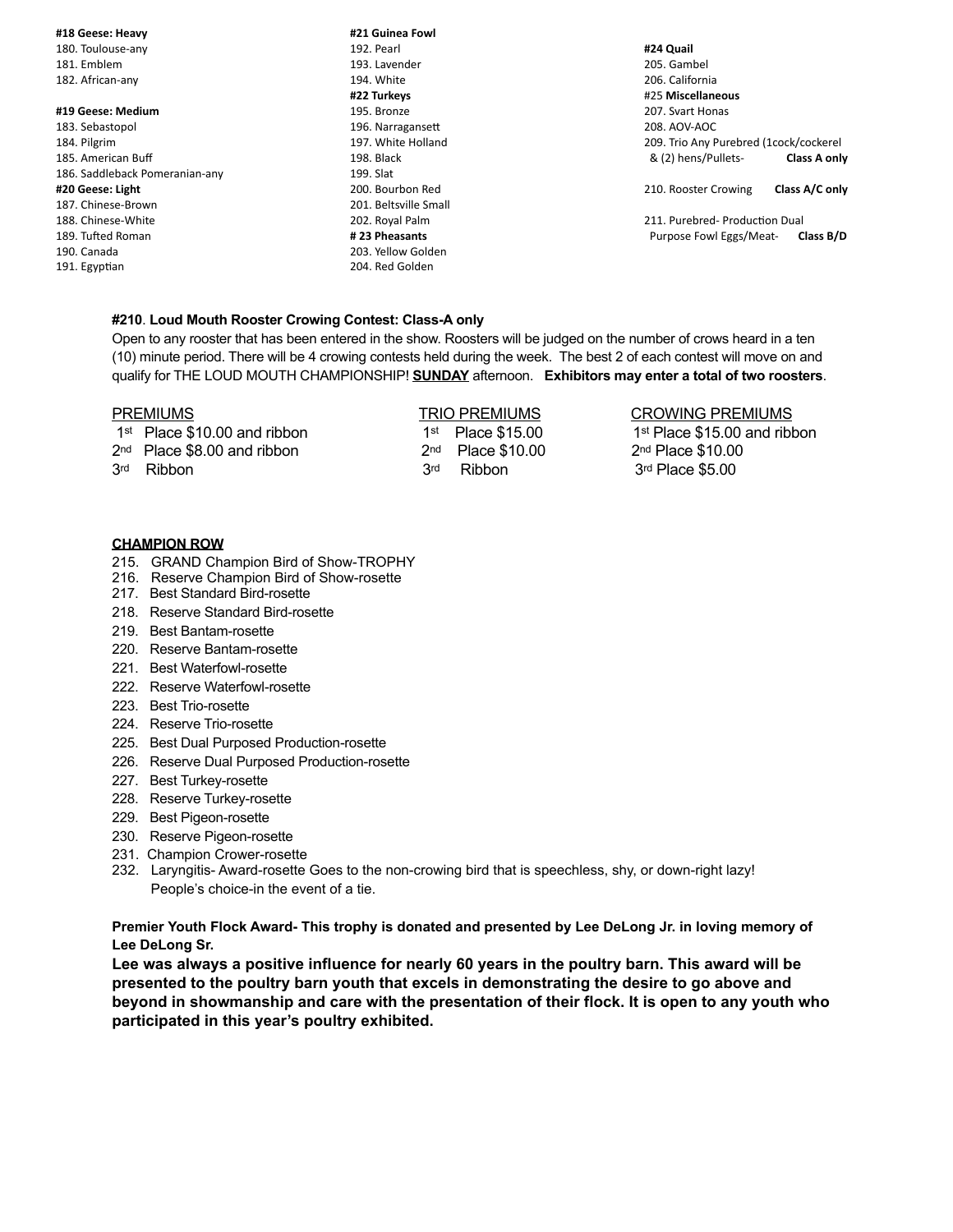#### **#18 Geese: Heavy**

180. Toulouse-any 181. Emblem 182. African-any

#### **#19 Geese: Medium**

- 183. Sebastopol 184. Pilgrim 185. American Buff 186. Saddleback Pomeranian-any **#20 Geese: Light** 187. Chinese-Brown 188. Chinese-White 189. Tufted Roman 190. Canada 191. Egyptian
- **#21 Guinea Fowl** 192. Pearl 193. Lavender 194. White **#22 Turkeys** 195. Bronze 196. Narragansett 197. White Holland 198. Black 199. Slat 200. Bourbon Red 201. Beltsville Small 202. Royal Palm **# 23 Pheasants** 203. Yellow Golden 204. Red Golden

**#24 Quail** 205. Gambel 206. California #25 **Miscellaneous** 207. Svart Honas 208. AOV-AOC 209. Trio Any Purebred (1cock/cockerel & (2) hens/Pullets- **Class A only**

210. Rooster Crowing **Class A/C only** 

211. Purebred- Production Dual Purpose Fowl Eggs/Meat- **Class B/D**

### **#210**. **Loud Mouth Rooster Crowing Contest: Class-A only**

Open to any rooster that has been entered in the show. Roosters will be judged on the number of crows heard in a ten (10) minute period. There will be 4 crowing contests held during the week. The best 2 of each contest will move on and qualify for THE LOUD MOUTH CHAMPIONSHIP! **SUNDAY** afternoon. **Exhibitors may enter a total of two roosters**.

| <b>PREMIUMS</b>                | <b>TRIO PREMIUMS</b>             | <b>CROWING PREMIUMS</b>                  |
|--------------------------------|----------------------------------|------------------------------------------|
| $1st$ Place \$10.00 and ribbon | $1st$ Place \$15.00              | 1 <sup>st</sup> Place \$15.00 and ribbon |
| $2nd$ Place \$8.00 and ribbon  | 2 <sub>nd</sub><br>Place \$10.00 | $2nd$ Place \$10.00                      |
| 3rd<br>Ribbon                  | 3rd<br>Ribbon                    | $3rd$ Place \$5.00                       |
|                                |                                  |                                          |

#### **CHAMPION ROW**

- 215. GRAND Champion Bird of Show-TROPHY
- 216. Reserve Champion Bird of Show-rosette
- 217. Best Standard Bird-rosette
- 218. Reserve Standard Bird-rosette
- 219. Best Bantam-rosette
- 220. Reserve Bantam-rosette
- 221. Best Waterfowl-rosette
- 222. Reserve Waterfowl-rosette
- 223. Best Trio-rosette
- 224. Reserve Trio-rosette
- 225. Best Dual Purposed Production-rosette
- 226. Reserve Dual Purposed Production-rosette
- 227. Best Turkey-rosette
- 228. Reserve Turkey-rosette
- 229. Best Pigeon-rosette
- 230. Reserve Pigeon-rosette
- 231. Champion Crower-rosette
- 232. Laryngitis- Award-rosette Goes to the non-crowing bird that is speechless, shy, or down-right lazy! People's choice-in the event of a tie.

**Premier Youth Flock Award- This trophy is donated and presented by Lee DeLong Jr. in loving memory of Lee DeLong Sr.**

**Lee was always a positive influence for nearly 60 years in the poultry barn. This award will be presented to the poultry barn youth that excels in demonstrating the desire to go above and beyond in showmanship and care with the presentation of their flock. It is open to any youth who participated in this year's poultry exhibited.**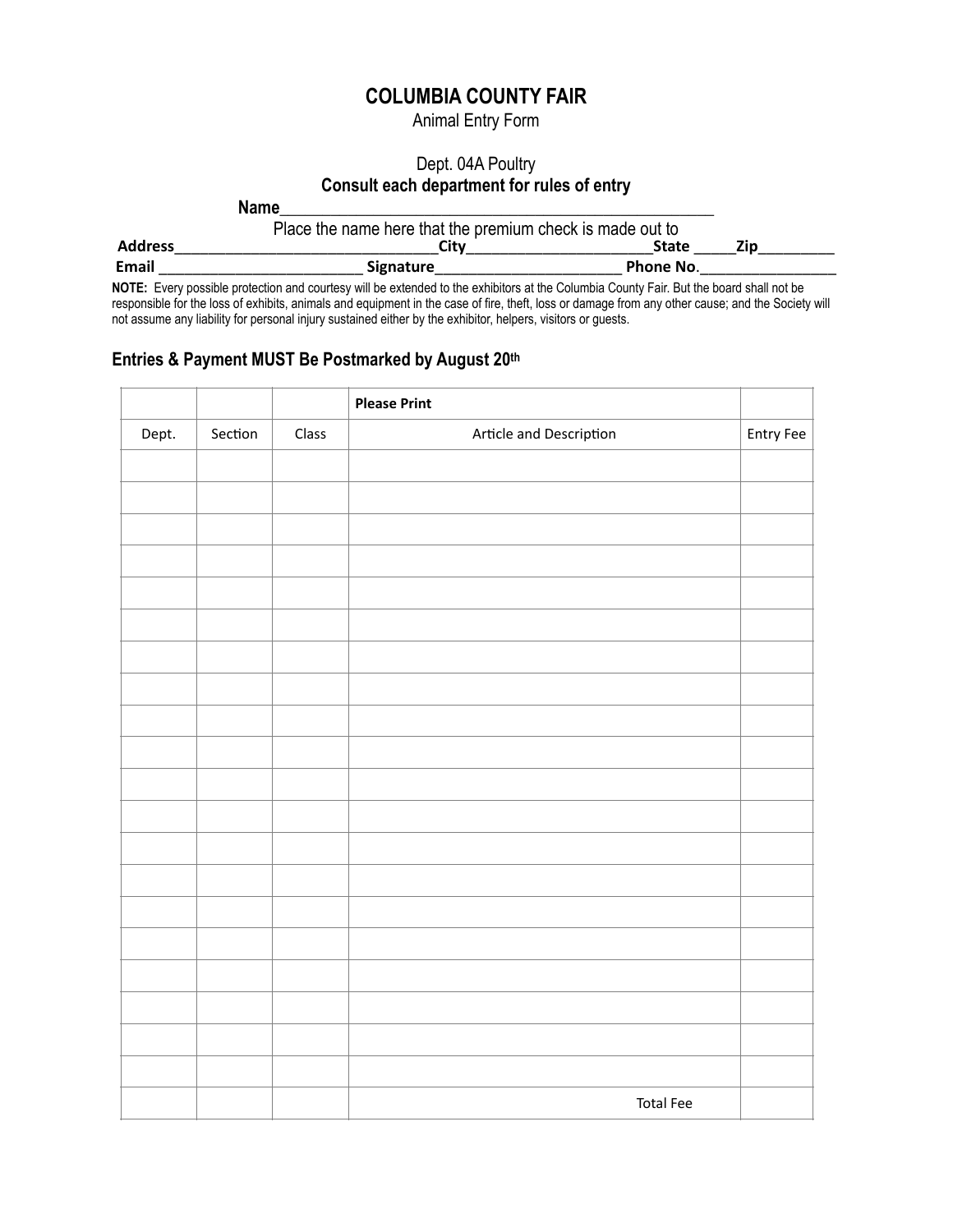# **COLUMBIA COUNTY FAIR**

Animal Entry Form

# Dept. 04A Poultry **Consult each department for rules of entry**

**Name**\_\_\_\_\_\_\_\_\_\_\_\_\_\_\_\_\_\_\_\_\_\_\_\_\_\_\_\_\_\_\_\_\_\_\_\_\_\_\_\_\_\_\_\_\_\_\_\_\_\_\_

|                |                  | Place the name here that the premium check is made out to |     |  |  |  |
|----------------|------------------|-----------------------------------------------------------|-----|--|--|--|
| <b>Address</b> | Citv             | State                                                     | Zip |  |  |  |
| <b>Email</b>   | <b>Signature</b> | <b>Phone No.</b>                                          |     |  |  |  |

**NOTE:** Every possible protection and courtesy will be extended to the exhibitors at the Columbia County Fair. But the board shall not be responsible for the loss of exhibits, animals and equipment in the case of fire, theft, loss or damage from any other cause; and the Society will not assume any liability for personal injury sustained either by the exhibitor, helpers, visitors or guests.

# **Entries & Payment MUST Be Postmarked by August 20th**

|       |         |       | <b>Please Print</b>     |           |
|-------|---------|-------|-------------------------|-----------|
| Dept. | Section | Class | Article and Description | Entry Fee |
|       |         |       |                         |           |
|       |         |       |                         |           |
|       |         |       |                         |           |
|       |         |       |                         |           |
|       |         |       |                         |           |
|       |         |       |                         |           |
|       |         |       |                         |           |
|       |         |       |                         |           |
|       |         |       |                         |           |
|       |         |       |                         |           |
|       |         |       |                         |           |
|       |         |       |                         |           |
|       |         |       |                         |           |
|       |         |       |                         |           |
|       |         |       |                         |           |
|       |         |       |                         |           |
|       |         |       |                         |           |
|       |         |       |                         |           |
|       |         |       |                         |           |
|       |         |       |                         |           |
|       |         |       | <b>Total Fee</b>        |           |